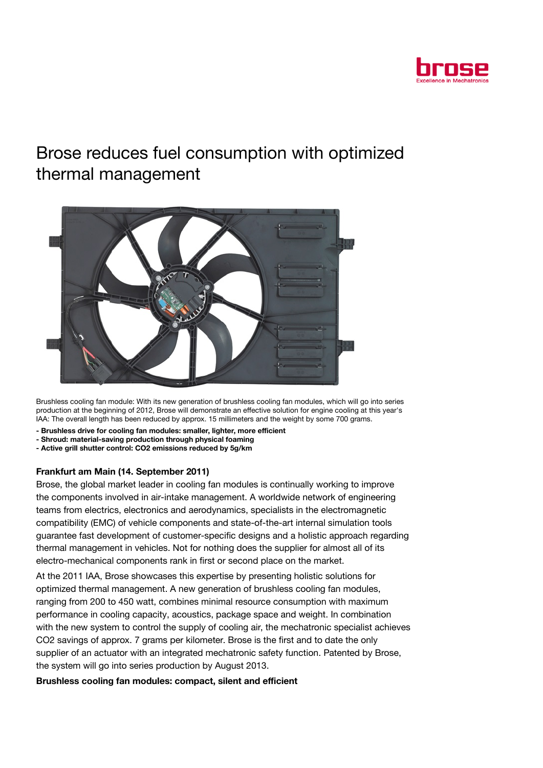

# Brose reduces fuel consumption with optimized thermal management



Brushless cooling fan module: With its new generation of brushless cooling fan modules, which will go into series production at the beginning of 2012, Brose will demonstrate an effective solution for engine cooling at this year's IAA: The overall length has been reduced by approx. 15 millimeters and the weight by some 700 grams.

- Brushless drive for cooling fan modules: smaller, lighter, more efficient
- Shroud: material-saving production through physical foaming
- Active grill shutter control: CO2 emissions reduced by 5g/km

## Frankfurt am Main (14. September 2011)

Brose, the global market leader in cooling fan modules is continually working to improve the components involved in air-intake management. A worldwide network of engineering teams from electrics, electronics and aerodynamics, specialists in the electromagnetic compatibility (EMC) of vehicle components and state-of-the-art internal simulation tools guarantee fast development of customer-specific designs and a holistic approach regarding thermal management in vehicles. Not for nothing does the supplier for almost all of its electro-mechanical components rank in first or second place on the market.

At the 2011 IAA, Brose showcases this expertise by presenting holistic solutions for optimized thermal management. A new generation of brushless cooling fan modules, ranging from 200 to 450 watt, combines minimal resource consumption with maximum performance in cooling capacity, acoustics, package space and weight. In combination with the new system to control the supply of cooling air, the mechatronic specialist achieves CO2 savings of approx. 7 grams per kilometer. Brose is the first and to date the only supplier of an actuator with an integrated mechatronic safety function. Patented by Brose, the system will go into series production by August 2013.

## Brushless cooling fan modules: compact, silent and efficient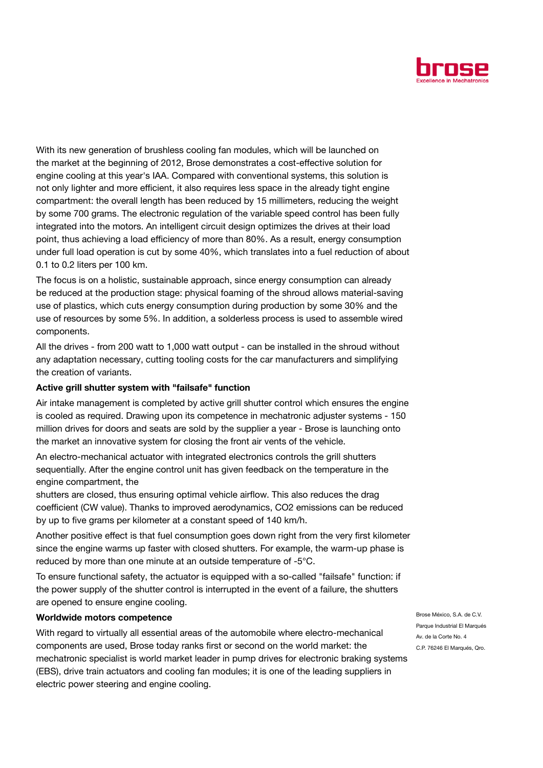

With its new generation of brushless cooling fan modules, which will be launched on the market at the beginning of 2012, Brose demonstrates a cost-effective solution for engine cooling at this year's IAA. Compared with conventional systems, this solution is not only lighter and more efficient, it also requires less space in the already tight engine compartment: the overall length has been reduced by 15 millimeters, reducing the weight by some 700 grams. The electronic regulation of the variable speed control has been fully integrated into the motors. An intelligent circuit design optimizes the drives at their load point, thus achieving a load efficiency of more than 80%. As a result, energy consumption under full load operation is cut by some 40%, which translates into a fuel reduction of about 0.1 to 0.2 liters per 100 km.

The focus is on a holistic, sustainable approach, since energy consumption can already be reduced at the production stage: physical foaming of the shroud allows material-saving use of plastics, which cuts energy consumption during production by some 30% and the use of resources by some 5%. In addition, a solderless process is used to assemble wired components.

All the drives - from 200 watt to 1,000 watt output - can be installed in the shroud without any adaptation necessary, cutting tooling costs for the car manufacturers and simplifying the creation of variants.

#### Active grill shutter system with "failsafe" function

Air intake management is completed by active grill shutter control which ensures the engine is cooled as required. Drawing upon its competence in mechatronic adjuster systems - 150 million drives for doors and seats are sold by the supplier a year - Brose is launching onto the market an innovative system for closing the front air vents of the vehicle.

An electro-mechanical actuator with integrated electronics controls the grill shutters sequentially. After the engine control unit has given feedback on the temperature in the engine compartment, the

shutters are closed, thus ensuring optimal vehicle airflow. This also reduces the drag coefficient (CW value). Thanks to improved aerodynamics, CO2 emissions can be reduced by up to five grams per kilometer at a constant speed of 140 km/h.

Another positive effect is that fuel consumption goes down right from the very first kilometer since the engine warms up faster with closed shutters. For example, the warm-up phase is reduced by more than one minute at an outside temperature of -5°C.

To ensure functional safety, the actuator is equipped with a so-called "failsafe" function: if the power supply of the shutter control is interrupted in the event of a failure, the shutters are opened to ensure engine cooling.

#### Worldwide motors competence

With regard to virtually all essential areas of the automobile where electro-mechanical components are used, Brose today ranks first or second on the world market: the mechatronic specialist is world market leader in pump drives for electronic braking systems (EBS), drive train actuators and cooling fan modules; it is one of the leading suppliers in electric power steering and engine cooling.

Brose México, S.A. de C.V. Parque Industrial El Marqués Av. de la Corte No. 4 C.P. 76246 El Marqués, Qro.